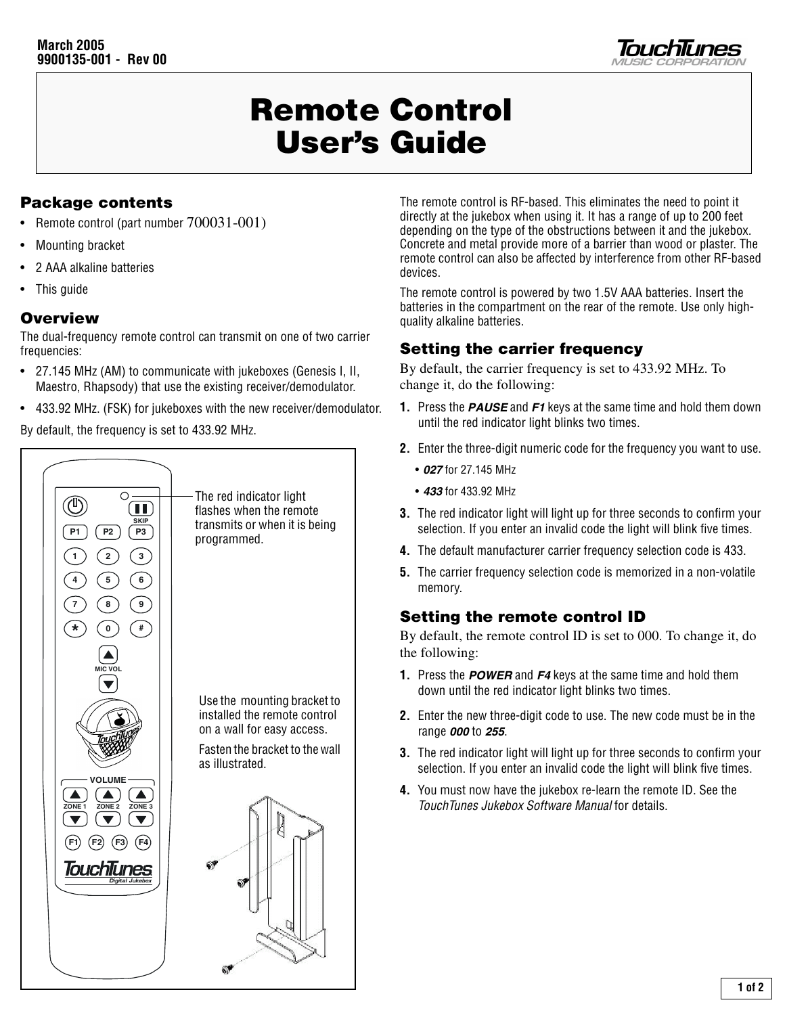

# Remote Control User's Guide

# Package contents

- Remote control (part number 700031-001)
- Mounting bracket
- 2 AAA alkaline batteries
- This guide

#### **Overview**

The dual-frequency remote control can transmit on one of two carrier frequencies:

- 27.145 MHz (AM) to communicate with jukeboxes (Genesis I, II, Maestro, Rhapsody) that use the existing receiver/demodulator.
- 433.92 MHz. (FSK) for jukeboxes with the new receiver/demodulator.

By default, the frequency is set to 433.92 MHz.



The remote control is RF-based. This eliminates the need to point it directly at the jukebox when using it. It has a range of up to 200 feet depending on the type of the obstructions between it and the jukebox. Concrete and metal provide more of a barrier than wood or plaster. The remote control can also be affected by interference from other RF-based devices.

The remote control is powered by two 1.5V AAA batteries. Insert the batteries in the compartment on the rear of the remote. Use only highquality alkaline batteries.

## Setting the carrier frequency

By default, the carrier frequency is set to 433.92 MHz. To change it, do the following:

- **1.** Press the **PAUSE** and **F1** keys at the same time and hold them down until the red indicator light blinks two times.
- **2.** Enter the three-digit numeric code for the frequency you want to use.
	- **027** for 27.145 MHz
	- **433** for 433.92 MHz
- **3.** The red indicator light will light up for three seconds to confirm your selection. If you enter an invalid code the light will blink five times.
- **4.** The default manufacturer carrier frequency selection code is 433.
- **5.** The carrier frequency selection code is memorized in a non-volatile memory.

### Setting the remote control ID

By default, the remote control ID is set to 000. To change it, do the following:

- **1.** Press the **POWER** and **F4** keys at the same time and hold them down until the red indicator light blinks two times.
- **2.** Enter the new three-digit code to use. The new code must be in the range **000** to **255**.
- **3.** The red indicator light will light up for three seconds to confirm your selection. If you enter an invalid code the light will blink five times.
- **4.** You must now have the jukebox re-learn the remote ID. See the TouchTunes Jukebox Software Manual for details.